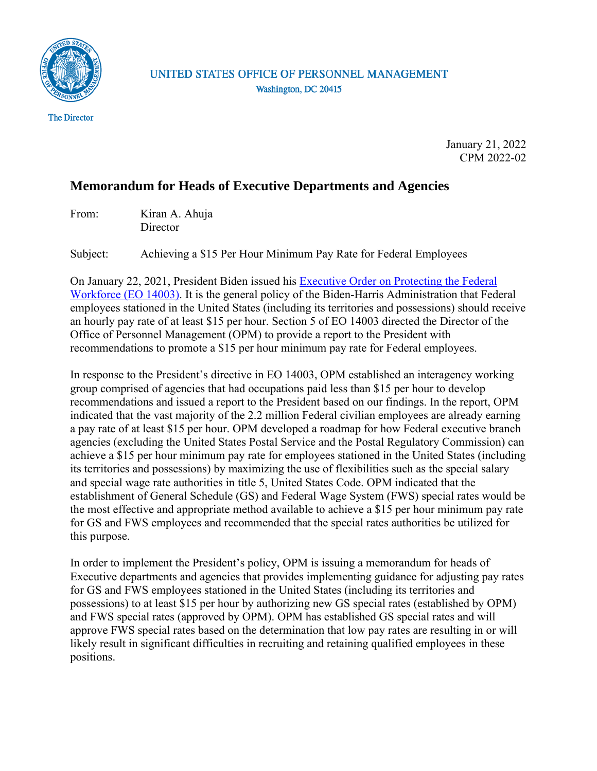

## UNITED STATES OFFICE OF PERSONNEL MANAGEMENT Washington, DC 20415

**The Director** 

January 21, 2022 CPM 2022-02

# **Memorandum for Heads of Executive Departments and Agencies**

From: Kiran A. Ahuja **Director** 

Subject: Achieving a \$15 Per Hour Minimum Pay Rate for Federal Employees

On January 22, 2021, President Biden issued his [Executive Order on Protecting the Federal](https://www.whitehouse.gov/briefing-room/presidential-actions/2021/01/22/executive-order-protecting-the-federal-workforce/)  [Workforce \(EO 14003\).](https://www.whitehouse.gov/briefing-room/presidential-actions/2021/01/22/executive-order-protecting-the-federal-workforce/) It is the general policy of the Biden-Harris Administration that Federal employees stationed in the United States (including its territories and possessions) should receive an hourly pay rate of at least \$15 per hour. Section 5 of EO 14003 directed the Director of the Office of Personnel Management (OPM) to provide a report to the President with recommendations to promote a \$15 per hour minimum pay rate for Federal employees.

In response to the President's directive in EO 14003, OPM established an interagency working group comprised of agencies that had occupations paid less than \$15 per hour to develop recommendations and issued a report to the President based on our findings. In the report, OPM indicated that the vast majority of the 2.2 million Federal civilian employees are already earning a pay rate of at least \$15 per hour. OPM developed a roadmap for how Federal executive branch agencies (excluding the United States Postal Service and the Postal Regulatory Commission) can achieve a \$15 per hour minimum pay rate for employees stationed in the United States (including its territories and possessions) by maximizing the use of flexibilities such as the special salary and special wage rate authorities in title 5, United States Code. OPM indicated that the establishment of General Schedule (GS) and Federal Wage System (FWS) special rates would be the most effective and appropriate method available to achieve a \$15 per hour minimum pay rate for GS and FWS employees and recommended that the special rates authorities be utilized for this purpose.

In order to implement the President's policy, OPM is issuing a memorandum for heads of Executive departments and agencies that provides implementing guidance for adjusting pay rates for GS and FWS employees stationed in the United States (including its territories and possessions) to at least \$15 per hour by authorizing new GS special rates (established by OPM) and FWS special rates (approved by OPM). OPM has established GS special rates and will approve FWS special rates based on the determination that low pay rates are resulting in or will likely result in significant difficulties in recruiting and retaining qualified employees in these positions.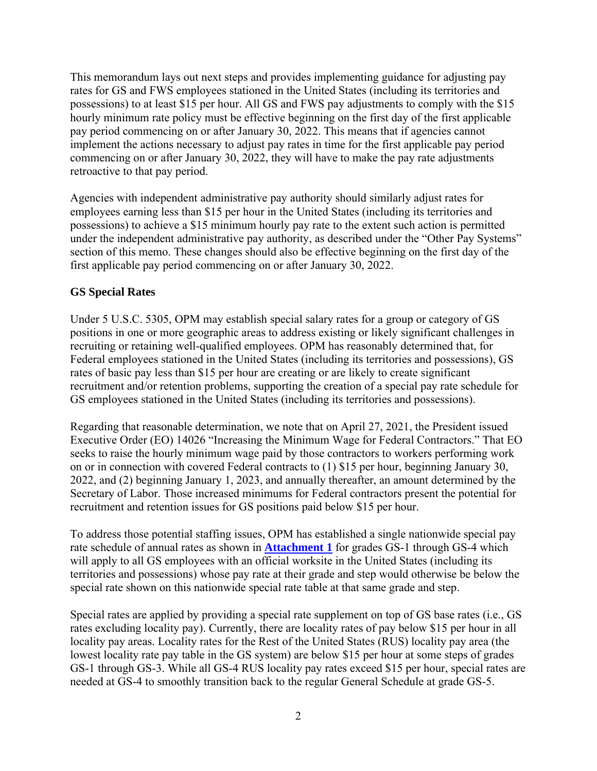This memorandum lays out next steps and provides implementing guidance for adjusting pay rates for GS and FWS employees stationed in the United States (including its territories and possessions) to at least \$15 per hour. All GS and FWS pay adjustments to comply with the \$15 hourly minimum rate policy must be effective beginning on the first day of the first applicable pay period commencing on or after January 30, 2022. This means that if agencies cannot implement the actions necessary to adjust pay rates in time for the first applicable pay period commencing on or after January 30, 2022, they will have to make the pay rate adjustments retroactive to that pay period.

Agencies with independent administrative pay authority should similarly adjust rates for employees earning less than \$15 per hour in the United States (including its territories and possessions) to achieve a \$15 minimum hourly pay rate to the extent such action is permitted under the independent administrative pay authority, as described under the "Other Pay Systems" section of this memo. These changes should also be effective beginning on the first day of the first applicable pay period commencing on or after January 30, 2022.

## **GS Special Rates**

Under 5 U.S.C. 5305, OPM may establish special salary rates for a group or category of GS positions in one or more geographic areas to address existing or likely significant challenges in recruiting or retaining well-qualified employees. OPM has reasonably determined that, for Federal employees stationed in the United States (including its territories and possessions), GS rates of basic pay less than \$15 per hour are creating or are likely to create significant recruitment and/or retention problems, supporting the creation of a special pay rate schedule for GS employees stationed in the United States (including its territories and possessions).

Regarding that reasonable determination, we note that on April 27, 2021, the President issued Executive Order (EO) 14026 "Increasing the Minimum Wage for Federal Contractors." That EO seeks to raise the hourly minimum wage paid by those contractors to workers performing work on or in connection with covered Federal contracts to (1) \$15 per hour, beginning January 30, 2022, and (2) beginning January 1, 2023, and annually thereafter, an amount determined by the Secretary of Labor. Those increased minimums for Federal contractors present the potential for recruitment and retention issues for GS positions paid below \$15 per hour.

To address those potential staffing issues, OPM has established a single nationwide special pay rate schedule of annual rates as shown in **[Attachment 1](#page-5-0)** for grades GS-1 through GS-4 which will apply to all GS employees with an official worksite in the United States (including its territories and possessions) whose pay rate at their grade and step would otherwise be below the special rate shown on this nationwide special rate table at that same grade and step.

Special rates are applied by providing a special rate supplement on top of GS base rates (i.e., GS rates excluding locality pay). Currently, there are locality rates of pay below \$15 per hour in all locality pay areas. Locality rates for the Rest of the United States (RUS) locality pay area (the lowest locality rate pay table in the GS system) are below \$15 per hour at some steps of grades GS-1 through GS-3. While all GS-4 RUS locality pay rates exceed \$15 per hour, special rates are needed at GS-4 to smoothly transition back to the regular General Schedule at grade GS-5.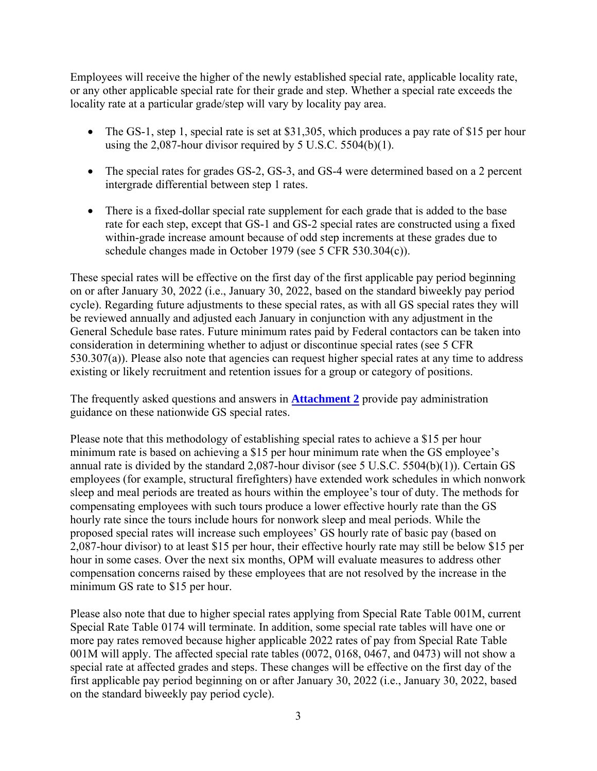Employees will receive the higher of the newly established special rate, applicable locality rate, or any other applicable special rate for their grade and step. Whether a special rate exceeds the locality rate at a particular grade/step will vary by locality pay area.

- The GS-1, step 1, special rate is set at \$31,305, which produces a pay rate of \$15 per hour using the 2,087-hour divisor required by 5 U.S.C.  $5504(b)(1)$ .
- The special rates for grades GS-2, GS-3, and GS-4 were determined based on a 2 percent intergrade differential between step 1 rates.
- There is a fixed-dollar special rate supplement for each grade that is added to the base rate for each step, except that GS-1 and GS-2 special rates are constructed using a fixed within-grade increase amount because of odd step increments at these grades due to schedule changes made in October 1979 (see 5 CFR 530.304(c)).

These special rates will be effective on the first day of the first applicable pay period beginning on or after January 30, 2022 (i.e., January 30, 2022, based on the standard biweekly pay period cycle). Regarding future adjustments to these special rates, as with all GS special rates they will be reviewed annually and adjusted each January in conjunction with any adjustment in the General Schedule base rates. Future minimum rates paid by Federal contactors can be taken into consideration in determining whether to adjust or discontinue special rates (see 5 CFR 530.307(a)). Please also note that agencies can request higher special rates at any time to address existing or likely recruitment and retention issues for a group or category of positions.

The frequently asked questions and answers in **[Attachment 2](#page-6-0)** provide pay administration guidance on these nationwide GS special rates.

Please note that this methodology of establishing special rates to achieve a \$15 per hour minimum rate is based on achieving a \$15 per hour minimum rate when the GS employee's annual rate is divided by the standard 2,087-hour divisor (see 5 U.S.C. 5504(b)(1)). Certain GS employees (for example, structural firefighters) have extended work schedules in which nonwork sleep and meal periods are treated as hours within the employee's tour of duty. The methods for compensating employees with such tours produce a lower effective hourly rate than the GS hourly rate since the tours include hours for nonwork sleep and meal periods. While the proposed special rates will increase such employees' GS hourly rate of basic pay (based on 2,087-hour divisor) to at least \$15 per hour, their effective hourly rate may still be below \$15 per hour in some cases. Over the next six months, OPM will evaluate measures to address other compensation concerns raised by these employees that are not resolved by the increase in the minimum GS rate to \$15 per hour.

Please also note that due to higher special rates applying from Special Rate Table 001M, current Special Rate Table 0174 will terminate. In addition, some special rate tables will have one or more pay rates removed because higher applicable 2022 rates of pay from Special Rate Table 001M will apply. The affected special rate tables (0072, 0168, 0467, and 0473) will not show a special rate at affected grades and steps. These changes will be effective on the first day of the first applicable pay period beginning on or after January 30, 2022 (i.e., January 30, 2022, based on the standard biweekly pay period cycle).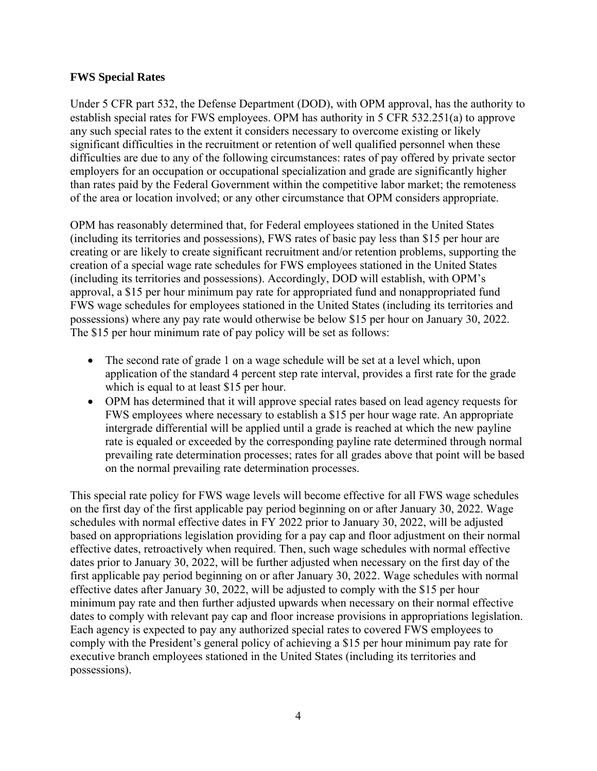#### **FWS Special Rates**

Under 5 CFR part 532, the Defense Department (DOD), with OPM approval, has the authority to establish special rates for FWS employees. OPM has authority in 5 CFR 532.251(a) to approve any such special rates to the extent it considers necessary to overcome existing or likely significant difficulties in the recruitment or retention of well qualified personnel when these difficulties are due to any of the following circumstances: rates of pay offered by private sector employers for an occupation or occupational specialization and grade are significantly higher than rates paid by the Federal Government within the competitive labor market; the remoteness of the area or location involved; or any other circumstance that OPM considers appropriate.

OPM has reasonably determined that, for Federal employees stationed in the United States (including its territories and possessions), FWS rates of basic pay less than \$15 per hour are creating or are likely to create significant recruitment and/or retention problems, supporting the creation of a special wage rate schedules for FWS employees stationed in the United States (including its territories and possessions). Accordingly, DOD will establish, with OPM's approval, a \$15 per hour minimum pay rate for appropriated fund and nonappropriated fund FWS wage schedules for employees stationed in the United States (including its territories and possessions) where any pay rate would otherwise be below \$15 per hour on January 30, 2022. The \$15 per hour minimum rate of pay policy will be set as follows:

- The second rate of grade 1 on a wage schedule will be set at a level which, upon application of the standard 4 percent step rate interval, provides a first rate for the grade which is equal to at least \$15 per hour.
- OPM has determined that it will approve special rates based on lead agency requests for FWS employees where necessary to establish a \$15 per hour wage rate. An appropriate intergrade differential will be applied until a grade is reached at which the new payline rate is equaled or exceeded by the corresponding payline rate determined through normal prevailing rate determination processes; rates for all grades above that point will be based on the normal prevailing rate determination processes.

This special rate policy for FWS wage levels will become effective for all FWS wage schedules on the first day of the first applicable pay period beginning on or after January 30, 2022. Wage schedules with normal effective dates in FY 2022 prior to January 30, 2022, will be adjusted based on appropriations legislation providing for a pay cap and floor adjustment on their normal effective dates, retroactively when required. Then, such wage schedules with normal effective dates prior to January 30, 2022, will be further adjusted when necessary on the first day of the first applicable pay period beginning on or after January 30, 2022. Wage schedules with normal effective dates after January 30, 2022, will be adjusted to comply with the \$15 per hour minimum pay rate and then further adjusted upwards when necessary on their normal effective dates to comply with relevant pay cap and floor increase provisions in appropriations legislation. Each agency is expected to pay any authorized special rates to covered FWS employees to comply with the President's general policy of achieving a \$15 per hour minimum pay rate for executive branch employees stationed in the United States (including its territories and possessions).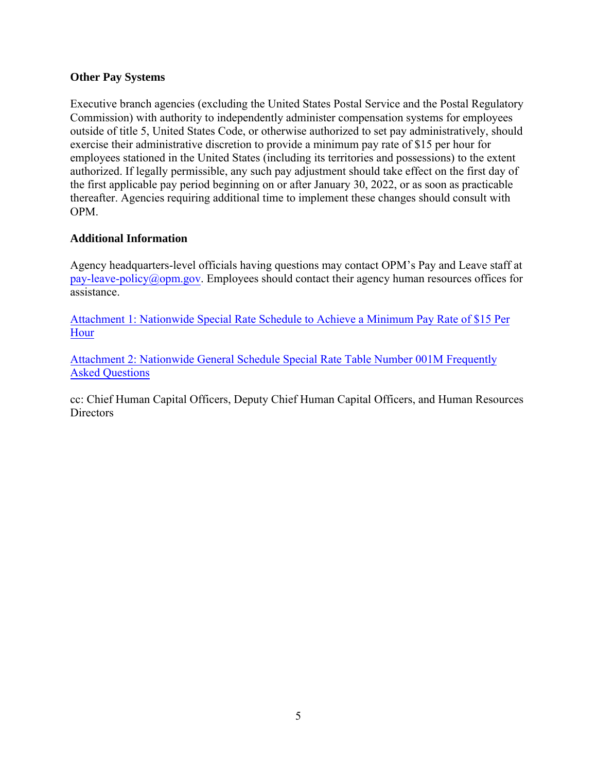### **Other Pay Systems**

Executive branch agencies (excluding the United States Postal Service and the Postal Regulatory Commission) with authority to independently administer compensation systems for employees outside of title 5, United States Code, or otherwise authorized to set pay administratively, should exercise their administrative discretion to provide a minimum pay rate of \$15 per hour for employees stationed in the United States (including its territories and possessions) to the extent authorized. If legally permissible, any such pay adjustment should take effect on the first day of the first applicable pay period beginning on or after January 30, 2022, or as soon as practicable thereafter. Agencies requiring additional time to implement these changes should consult with OPM.

## **Additional Information**

Agency headquarters-level officials having questions may contact OPM's Pay and Leave staff at  $pay-leave-policy@opm.gov$ . Employees should contact their agency human resources offices for assistance.

[Attachment 1: Nationwide Special Rate Schedule to Achieve a Minimum Pay Rate of \\$15 Per](#page-5-1)  Hour

[Attachment 2: Nationwide General Schedule Special Rate Table Number 001M Frequently](#page-6-1) Asked Questions

cc: Chief Human Capital Officers, Deputy Chief Human Capital Officers, and Human Resources **Directors**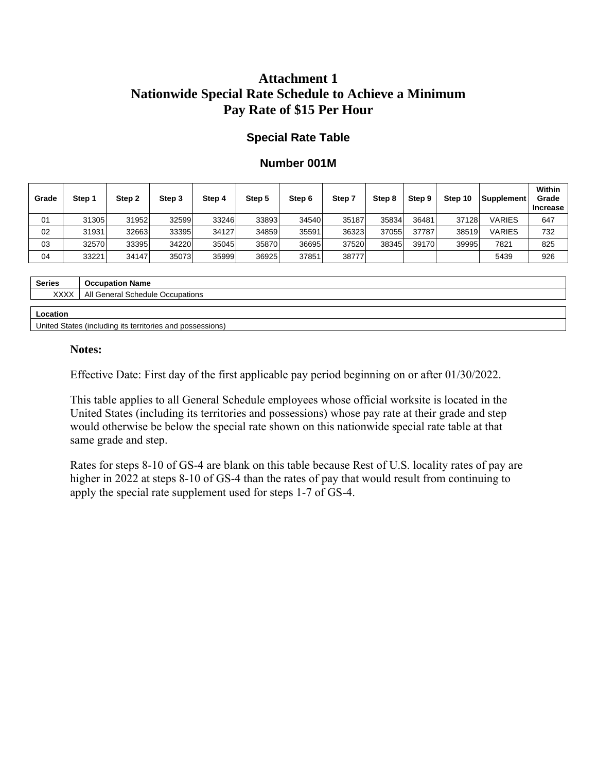# <span id="page-5-1"></span><span id="page-5-0"></span>**Attachment 1 Nationwide Special Rate Schedule to Achieve a Minimum Pay Rate of \$15 Per Hour**

### **Special Rate Table**

#### **Number 001M**

| Grade | Step 1 | Step 2 | Step 3 | Step 4 | Step 5 | Step 6 | Step 7 | Step 8 | Step 9 | Step 10 | Supplement | Within<br>Grade<br><b>Increase</b> |
|-------|--------|--------|--------|--------|--------|--------|--------|--------|--------|---------|------------|------------------------------------|
| 01    | 31305  | 31952  | 32599  | 33246  | 33893  | 34540  | 35187  | 35834  | 36481  | 371281  | VARIES     | 647                                |
| 02    | 31931  | 32663  | 33395  | 34127  | 34859  | 35591  | 36323  | 37055  | 37787  | 38519   | VARIES     | 732                                |
| 03    | 32570  | 33395  | 34220  | 35045  | 35870  | 36695  | 37520  | 38345  | 39170  | 39995   | 7821       | 825                                |
| 04    | 33221  | 34147  | 35073  | 35999  | 36925  | 37851  | 38777  |        |        |         | 5439       | 926                                |

| <b>Series</b> | <b>Occupation Name</b>           |  |  |  |  |  |
|---------------|----------------------------------|--|--|--|--|--|
| XXXX          | All General Schedule Occupations |  |  |  |  |  |
| Location      |                                  |  |  |  |  |  |

United States (including its territories and possessions)

#### **Notes:**

Effective Date: First day of the first applicable pay period beginning on or after 01/30/2022.

This table applies to all General Schedule employees whose official worksite is located in the United States (including its territories and possessions) whose pay rate at their grade and step would otherwise be below the special rate shown on this nationwide special rate table at that same grade and step.

Rates for steps 8-10 of GS-4 are blank on this table because Rest of U.S. locality rates of pay are higher in 2022 at steps 8-10 of GS-4 than the rates of pay that would result from continuing to apply the special rate supplement used for steps 1-7 of GS-4.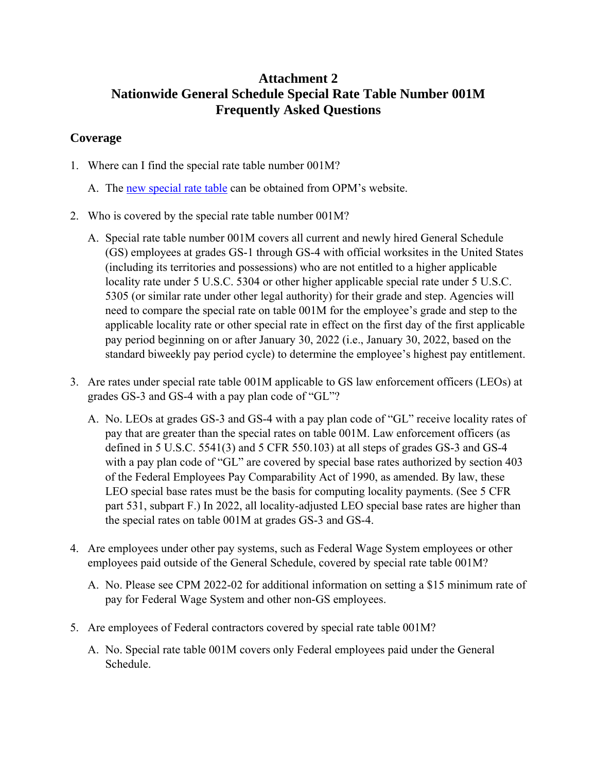# <span id="page-6-1"></span><span id="page-6-0"></span>**Attachment 2 Nationwide General Schedule Special Rate Table Number 001M Frequently Asked Questions**

## **Coverage**

- 1. Where can I find the special rate table number 001M?
	- A. The [new special rate table](https://apps.opm.gov/SpecialRates/2022/Table001M01302022.aspx) can be obtained from OPM's website.
- 2. Who is covered by the special rate table number 001M?
	- A. Special rate table number 001M covers all current and newly hired General Schedule (GS) employees at grades GS-1 through GS-4 with official worksites in the United States (including its territories and possessions) who are not entitled to a higher applicable locality rate under 5 U.S.C. 5304 or other higher applicable special rate under 5 U.S.C. 5305 (or similar rate under other legal authority) for their grade and step. Agencies will need to compare the special rate on table 001M for the employee's grade and step to the applicable locality rate or other special rate in effect on the first day of the first applicable pay period beginning on or after January 30, 2022 (i.e., January 30, 2022, based on the standard biweekly pay period cycle) to determine the employee's highest pay entitlement.
- 3. Are rates under special rate table 001M applicable to GS law enforcement officers (LEOs) at grades GS-3 and GS-4 with a pay plan code of "GL"?
	- A. No. LEOs at grades GS-3 and GS-4 with a pay plan code of "GL" receive locality rates of pay that are greater than the special rates on table 001M. Law enforcement officers (as defined in 5 U.S.C. 5541(3) and 5 CFR 550.103) at all steps of grades GS-3 and GS-4 with a pay plan code of "GL" are covered by special base rates authorized by section 403 of the Federal Employees Pay Comparability Act of 1990, as amended. By law, these LEO special base rates must be the basis for computing locality payments. (See 5 CFR part 531, subpart F.) In 2022, all locality-adjusted LEO special base rates are higher than the special rates on table 001M at grades GS-3 and GS-4.
- 4. Are employees under other pay systems, such as Federal Wage System employees or other employees paid outside of the General Schedule, covered by special rate table 001M?
	- A. No. Please see CPM 2022-02 for additional information on setting a \$15 minimum rate of pay for Federal Wage System and other non-GS employees.
- 5. Are employees of Federal contractors covered by special rate table 001M?
	- A. No. Special rate table 001M covers only Federal employees paid under the General Schedule.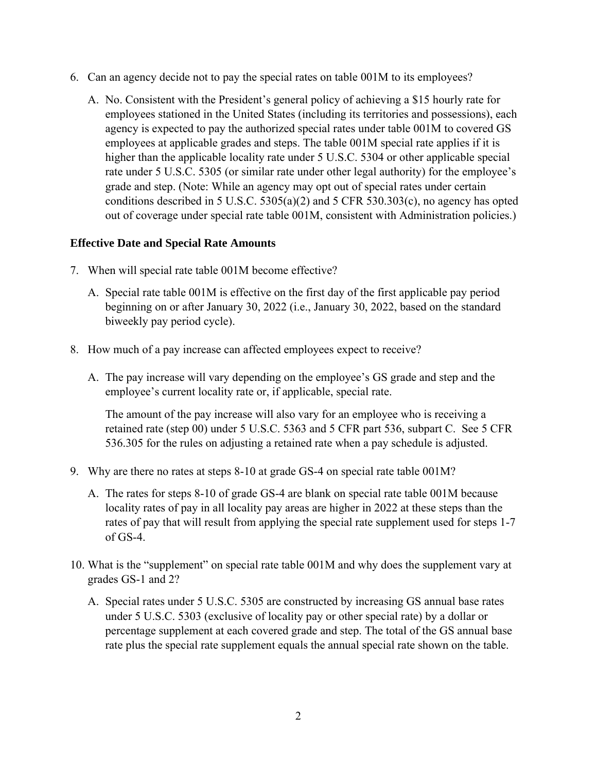- 6. Can an agency decide not to pay the special rates on table 001M to its employees?
	- A. No. Consistent with the President's general policy of achieving a \$15 hourly rate for employees stationed in the United States (including its territories and possessions), each agency is expected to pay the authorized special rates under table 001M to covered GS employees at applicable grades and steps. The table 001M special rate applies if it is higher than the applicable locality rate under 5 U.S.C. 5304 or other applicable special rate under 5 U.S.C. 5305 (or similar rate under other legal authority) for the employee's grade and step. (Note: While an agency may opt out of special rates under certain conditions described in 5 U.S.C. 5305(a)(2) and 5 CFR 530.303(c), no agency has opted out of coverage under special rate table 001M, consistent with Administration policies.)

## **Effective Date and Special Rate Amounts**

- 7. When will special rate table 001M become effective?
	- A. Special rate table 001M is effective on the first day of the first applicable pay period beginning on or after January 30, 2022 (i.e., January 30, 2022, based on the standard biweekly pay period cycle).
- 8. How much of a pay increase can affected employees expect to receive?
	- A. The pay increase will vary depending on the employee's GS grade and step and the employee's current locality rate or, if applicable, special rate.

The amount of the pay increase will also vary for an employee who is receiving a retained rate (step 00) under 5 U.S.C. 5363 and 5 CFR part 536, subpart C. See 5 CFR 536.305 for the rules on adjusting a retained rate when a pay schedule is adjusted.

- 9. Why are there no rates at steps 8-10 at grade GS-4 on special rate table 001M?
	- A. The rates for steps 8-10 of grade GS-4 are blank on special rate table 001M because locality rates of pay in all locality pay areas are higher in 2022 at these steps than the rates of pay that will result from applying the special rate supplement used for steps 1-7 of GS-4.
- 10. What is the "supplement" on special rate table 001M and why does the supplement vary at grades GS-1 and 2?
	- A. Special rates under 5 U.S.C. 5305 are constructed by increasing GS annual base rates under 5 U.S.C. 5303 (exclusive of locality pay or other special rate) by a dollar or percentage supplement at each covered grade and step. The total of the GS annual base rate plus the special rate supplement equals the annual special rate shown on the table.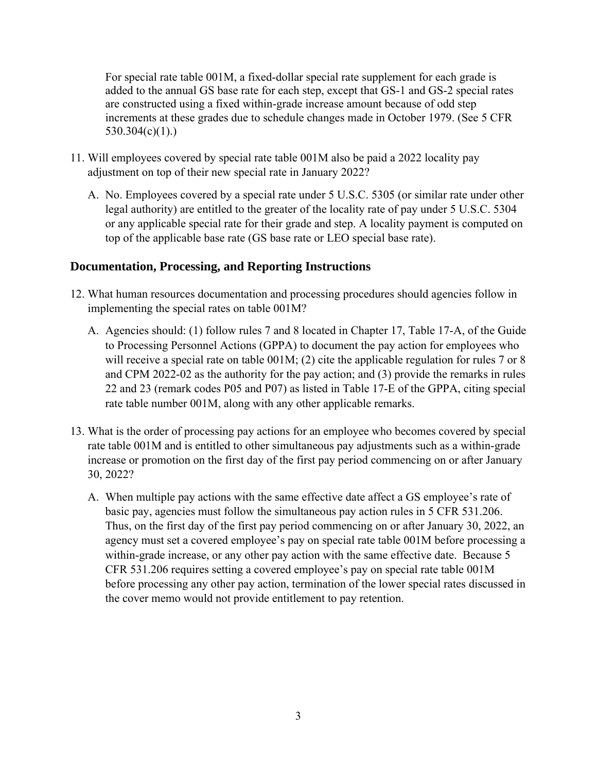For special rate table 001M, a fixed-dollar special rate supplement for each grade is added to the annual GS base rate for each step, except that GS-1 and GS-2 special rates are constructed using a fixed within-grade increase amount because of odd step increments at these grades due to schedule changes made in October 1979. (See 5 CFR 530.304(c)(1).)

- 11. Will employees covered by special rate table 001M also be paid a 2022 locality pay adjustment on top of their new special rate in January 2022?
	- A. No. Employees covered by a special rate under 5 U.S.C. 5305 (or similar rate under other legal authority) are entitled to the greater of the locality rate of pay under 5 U.S.C. 5304 or any applicable special rate for their grade and step. A locality payment is computed on top of the applicable base rate (GS base rate or LEO special base rate).

## **Documentation, Processing, and Reporting Instructions**

- 12. What human resources documentation and processing procedures should agencies follow in implementing the special rates on table 001M?
	- A. Agencies should: (1) follow rules 7 and 8 located in Chapter 17, Table 17-A, of the Guide to Processing Personnel Actions (GPPA) to document the pay action for employees who will receive a special rate on table 001M; (2) cite the applicable regulation for rules 7 or 8 and CPM 2022-02 as the authority for the pay action; and (3) provide the remarks in rules 22 and 23 (remark codes P05 and P07) as listed in Table 17-E of the GPPA, citing special rate table number 001M, along with any other applicable remarks.
- 13. What is the order of processing pay actions for an employee who becomes covered by special rate table 001M and is entitled to other simultaneous pay adjustments such as a within-grade increase or promotion on the first day of the first pay period commencing on or after January 30, 2022?
	- A. When multiple pay actions with the same effective date affect a GS employee's rate of basic pay, agencies must follow the simultaneous pay action rules in 5 CFR 531.206. Thus, on the first day of the first pay period commencing on or after January 30, 2022, an agency must set a covered employee's pay on special rate table 001M before processing a within-grade increase, or any other pay action with the same effective date. Because 5 CFR 531.206 requires setting a covered employee's pay on special rate table 001M before processing any other pay action, termination of the lower special rates discussed in the cover memo would not provide entitlement to pay retention.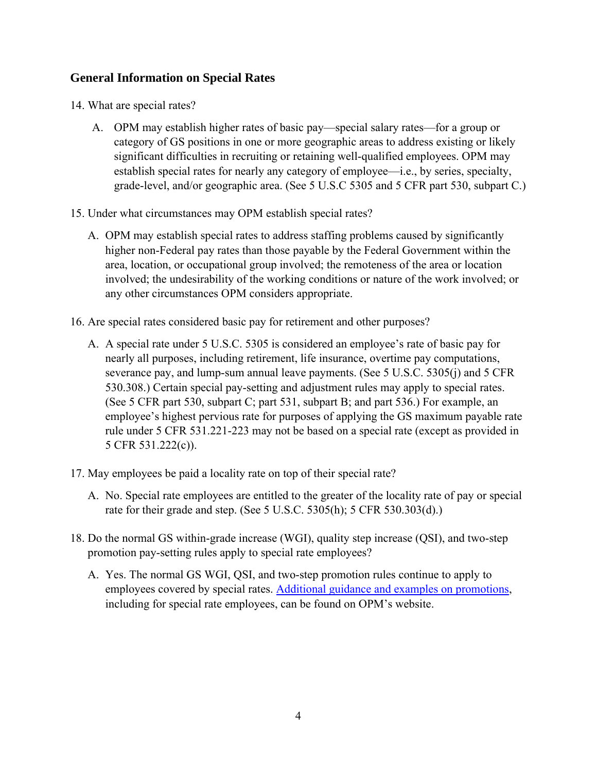## **General Information on Special Rates**

- 14. What are special rates?
	- A. OPM may establish higher rates of basic pay—special salary rates—for a group or category of GS positions in one or more geographic areas to address existing or likely significant difficulties in recruiting or retaining well-qualified employees. OPM may establish special rates for nearly any category of employee—i.e., by series, specialty, grade-level, and/or geographic area. (See 5 U.S.C 5305 and 5 CFR part 530, subpart C.)
- 15. Under what circumstances may OPM establish special rates?
	- A. OPM may establish special rates to address staffing problems caused by significantly higher non-Federal pay rates than those payable by the Federal Government within the area, location, or occupational group involved; the remoteness of the area or location involved; the undesirability of the working conditions or nature of the work involved; or any other circumstances OPM considers appropriate.
- 16. Are special rates considered basic pay for retirement and other purposes?
	- A. A special rate under 5 U.S.C. 5305 is considered an employee's rate of basic pay for nearly all purposes, including retirement, life insurance, overtime pay computations, severance pay, and lump-sum annual leave payments. (See 5 U.S.C. 5305(j) and 5 CFR 530.308.) Certain special pay-setting and adjustment rules may apply to special rates. (See 5 CFR part 530, subpart C; part 531, subpart B; and part 536.) For example, an employee's highest pervious rate for purposes of applying the GS maximum payable rate rule under 5 CFR 531.221-223 may not be based on a special rate (except as provided in 5 CFR 531.222(c)).
- 17. May employees be paid a locality rate on top of their special rate?
	- A. No. Special rate employees are entitled to the greater of the locality rate of pay or special rate for their grade and step. (See 5 U.S.C. 5305(h); 5 CFR 530.303(d).)
- 18. Do the normal GS within-grade increase (WGI), quality step increase (QSI), and two-step promotion pay-setting rules apply to special rate employees?
	- A. Yes. The normal GS WGI, QSI, and two-step promotion rules continue to apply to employees covered by special rates. [Additional guidance and examples on promotions,](https://www.opm.gov/policy-data-oversight/pay-leave/pay-administration/fact-sheets/promotions/) including for special rate employees, can be found on OPM's website.